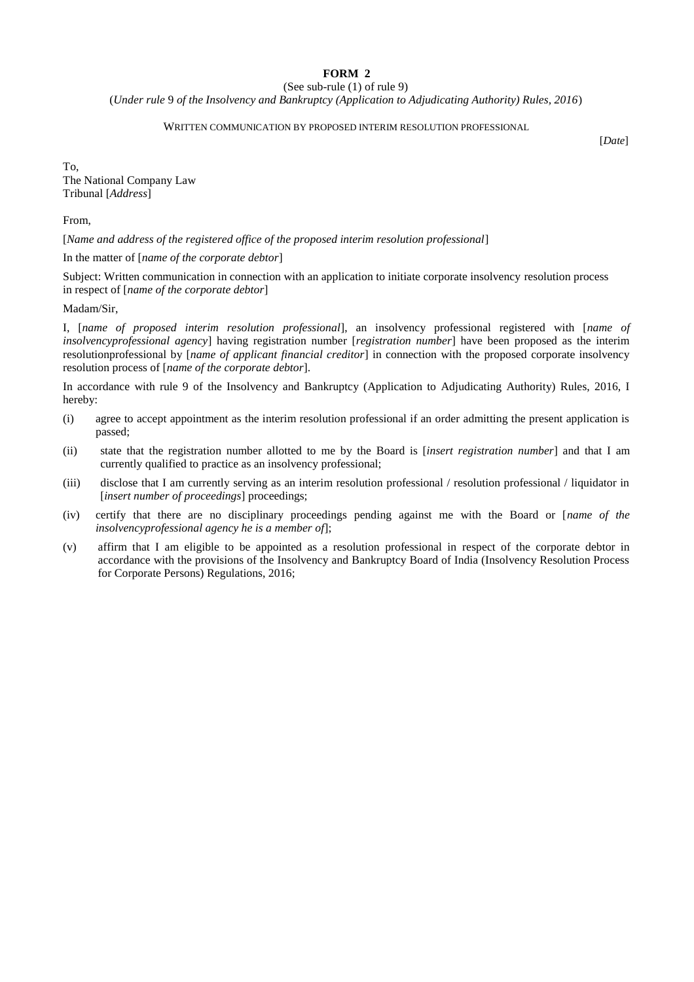## **FORM 2**

(See sub-rule (1) of rule 9)

(*Under rule* 9 *of the Insolvency and Bankruptcy (Application to Adjudicating Authority) Rules, 2016*)

## WRITTEN COMMUNICATION BY PROPOSED INTERIM RESOLUTION PROFESSIONAL

[*Date*]

To, The National Company Law Tribunal [*Address*]

From,

[*Name and address of the registered office of the proposed interim resolution professional*]

In the matter of [*name of the corporate debtor*]

Subject: Written communication in connection with an application to initiate corporate insolvency resolution process in respect of [*name of the corporate debtor*]

## Madam/Sir,

I, [*name of proposed interim resolution professional*], an insolvency professional registered with [*name of insolvencyprofessional agency*] having registration number [*registration number*] have been proposed as the interim resolutionprofessional by [*name of applicant financial creditor*] in connection with the proposed corporate insolvency resolution process of [*name of the corporate debtor*].

In accordance with rule 9 of the Insolvency and Bankruptcy (Application to Adjudicating Authority) Rules, 2016, I hereby:

- (i) agree to accept appointment as the interim resolution professional if an order admitting the present application is passed;
- (ii) state that the registration number allotted to me by the Board is [*insert registration number*] and that I am currently qualified to practice as an insolvency professional;
- (iii) disclose that I am currently serving as an interim resolution professional / resolution professional / liquidator in [*insert number of proceedings*] proceedings;
- (iv) certify that there are no disciplinary proceedings pending against me with the Board or [*name of the insolvencyprofessional agency he is a member of*];
- (v) affirm that I am eligible to be appointed as a resolution professional in respect of the corporate debtor in accordance with the provisions of the Insolvency and Bankruptcy Board of India (Insolvency Resolution Process for Corporate Persons) Regulations, 2016;